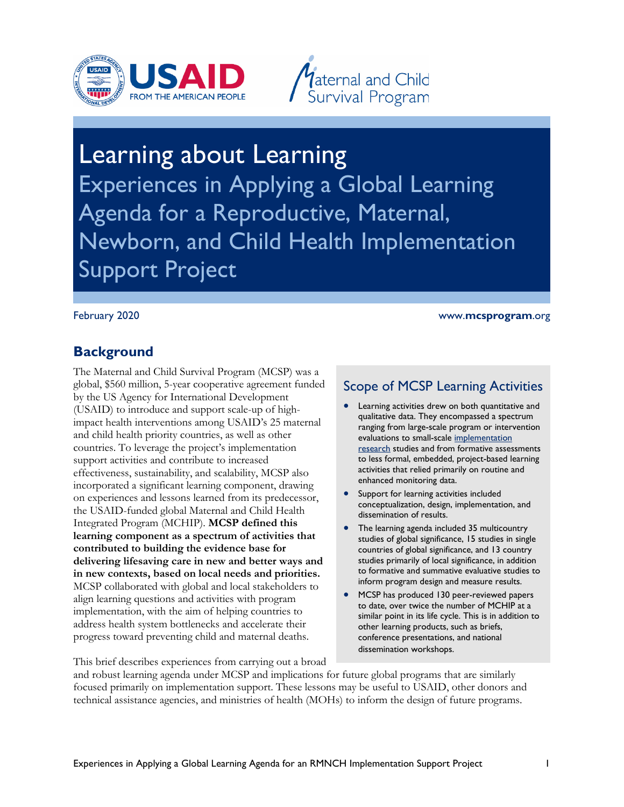



# Experiences in Applying a Global Learning Support Project Learning about Learning Agenda for a Reproductive, Maternal, Newborn, and Child Health Implementation

#### February 2020

#### www.**mcsprogram**.org

### **Background**

 global, \$560 million, 5-year cooperative agreement funded impact health interventions among USAID's 25 maternal countries. To leverage the project's implementation  Integrated Program (MCHIP). **MCSP defined this learning component as a spectrum of activities that contributed to building the evidence base for** align learning questions and activities with program progress toward preventing child and maternal deaths. The Maternal and Child Survival Program (MCSP) was a by the US Agency for International Development (USAID) to introduce and support scale-up of highand child health priority countries, as well as other support activities and contribute to increased effectiveness, sustainability, and scalability, MCSP also incorporated a significant learning component, drawing on experiences and lessons learned from its predecessor, the USAID-funded global Maternal and Child Health **delivering lifesaving care in new and better ways and in new contexts, based on local needs and priorities.**  MCSP collaborated with global and local stakeholders to implementation, with the aim of helping countries to address health system bottlenecks and accelerate their

### Scope of MCSP Learning Activities

- • Learning activities drew on both quantitative and qualitative data. They encompassed a spectrum ranging from large-scale program or intervention evaluations to small-scale [implementation](https://www.bmj.com/content/347/bmj.f6753)  [research](https://www.bmj.com/content/347/bmj.f6753) studies and from formative assessments to less formal, embedded, project-based learning activities that relied primarily on routine and enhanced monitoring data.
- Support for learning activities included conceptualization, design, implementation, and dissemination of results.
- The learning agenda included 35 multicountry studies of global significance, 15 studies in single countries of global significance, and 13 country studies primarily of local significance, in addition to formative and summative evaluative studies to inform program design and measure results.
- other learning products, such as briefs, conference presentations, and national • MCSP has produced 130 peer-reviewed papers to date, over twice the number of MCHIP at a similar point in its life cycle. This is in addition to dissemination workshops.

This brief describes experiences from carrying out a broad

and robust learning agenda under MCSP and implications for future global programs that are similarly focused primarily on implementation support. These lessons may be useful to USAID, other donors and technical assistance agencies, and ministries of health (MOHs) to inform the design of future programs.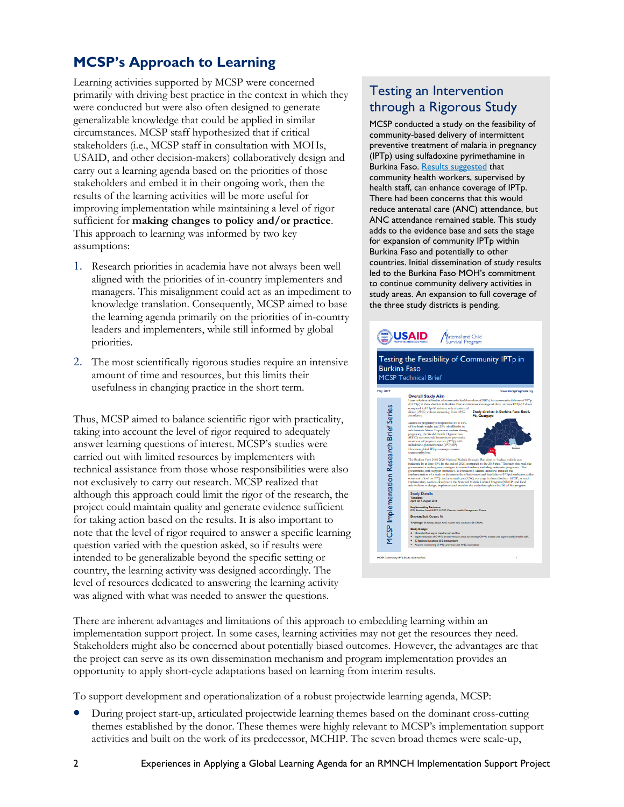## **MCSP's Approach to Learning**

 primarily with driving best practice in the context in which they generalizable knowledge that could be applied in similar carry out a learning agenda based on the priorities of those stakeholders and embed it in their ongoing work, then the improving implementation while maintaining a level of rigor Learning activities supported by MCSP were concerned were conducted but were also often designed to generate circumstances. MCSP staff hypothesized that if critical stakeholders (i.e., MCSP staff in consultation with MOHs, USAID, and other decision-makers) collaboratively design and results of the learning activities will be more useful for sufficient for **making changes to policy and/or practice**. This approach to learning was informed by two key assumptions:

- 1. Research priorities in academia have not always been well aligned with the priorities of in-country implementers and managers. This misalignment could act as an impediment to knowledge translation. Consequently, MCSP aimed to base the learning agenda primarily on the priorities of in-country leaders and implementers, while still informed by global priorities.
- 2. The most scientifically rigorous studies require an intensive amount of time and resources, but this limits their usefulness in changing practice in the short term.

 Thus, MCSP aimed to balance scientific rigor with practicality, not exclusively to carry out research. MCSP realized that although this approach could limit the rigor of the research, the note that the level of rigor required to answer a specific learning question varied with the question asked, so if results were country, the learning activity was designed accordingly. The taking into account the level of rigor required to adequately answer learning questions of interest. MCSP's studies were carried out with limited resources by implementers with technical assistance from those whose responsibilities were also project could maintain quality and generate evidence sufficient for taking action based on the results. It is also important to intended to be generalizable beyond the specific setting or level of resources dedicated to answering the learning activity was aligned with what was needed to answer the questions.

### through a Rigorous Study Testing an Intervention

MCSP conducted a study on the feasibility of community-based delivery of intermittent preventive treatment of malaria in pregnancy (IPTp) using sulfadoxine pyrimethamine in Burkina Faso. [Results suggested](https://www.mcsprogram.org/resource/testing-the-feasibility-of-community-iptp-in-burkina-faso/) that community health workers, supervised by health staff, can enhance coverage of IPTp. There had been concerns that this would reduce antenatal care (ANC) attendance, but ANC attendance remained stable. This study adds to the evidence base and sets the stage for expansion of community IPTp within Burkina Faso and potentially to other countries. Initial dissemination of study results led to the Burkina Faso MOH's commitment to continue community delivery activities in study areas. An expansion to full coverage of the three study districts is pending.

| Testing the Feasibility of Community IPTp in<br><b>Burkina Faso</b><br>www.mcsprogram.org<br><b>Overall Study Aim</b><br><b>MCSP</b> Implementation Research Brief Series<br>compared to IPTp-SP delivery only at antenatal<br>Study districts in Burkina Faso: Batié,<br>clinics (ANC) without detracting from ANC<br>attendance.<br>Pô, Ouargaye<br>Malaria in pregnancy is responsible for 8-14%<br>of low-birth-weight and 20% of stillbirths in<br>sub-Saharan Africa. To prevent malaria during<br>pregnancy, the World Health Organization<br>(WHO) recommends intermittent preventive<br>treatment of pregnant women (IPTp) with<br>sulfadosine-pyrimethamine (IPTp-SP).<br>Ouerprys<br>However, global IPTp coverage remains<br>unacceptably low.<br>The Burkina Faso 2016-2020 National Malaria Strategic Plan aims to "reduce malaria case<br>government is seeking new strategies to control malaria, including malaria in pregnancy. The<br>government, with support from the U.S. President's Malaria Initiative, initiated the<br>community level on IPTp and antenatal care (ANC) coverage in three districts. MCSP, as study<br>implementers, worked closely with the National Malaria Control Program (NMCP) and local<br>stakeholders to design, implement and monitor the study throughout the life of the program.<br><b>Study Details</b><br><b>Timeline:</b><br>April 2017-August 2018<br><b>Implementing Partners:</b><br>PM, Burkina Faso NMCP, MCSP, District Health Management Teams<br>Districts: Barié, Ourgaye, Pó<br>Trainings: 24 facility-based ANC health care workers; 58 CHWs<br><b>Study Design:</b><br>Household survey at baseline and endline<br>Implementation of C-IPTp in intervention areas by existing CHWs trained and supervised by health staff.<br>12 facilities (6 control & 6 intervention)<br>Routine monitoring of IPTp provision and ANC attendance |                                                                                                      |
|-----------------------------------------------------------------------------------------------------------------------------------------------------------------------------------------------------------------------------------------------------------------------------------------------------------------------------------------------------------------------------------------------------------------------------------------------------------------------------------------------------------------------------------------------------------------------------------------------------------------------------------------------------------------------------------------------------------------------------------------------------------------------------------------------------------------------------------------------------------------------------------------------------------------------------------------------------------------------------------------------------------------------------------------------------------------------------------------------------------------------------------------------------------------------------------------------------------------------------------------------------------------------------------------------------------------------------------------------------------------------------------------------------------------------------------------------------------------------------------------------------------------------------------------------------------------------------------------------------------------------------------------------------------------------------------------------------------------------------------------------------------------------------------------------------------------------------------------------------------------------------------------------------------|------------------------------------------------------------------------------------------------------|
|                                                                                                                                                                                                                                                                                                                                                                                                                                                                                                                                                                                                                                                                                                                                                                                                                                                                                                                                                                                                                                                                                                                                                                                                                                                                                                                                                                                                                                                                                                                                                                                                                                                                                                                                                                                                                                                                                                           |                                                                                                      |
| <b>MCSP Technical Brief</b><br><b>May 2019</b>                                                                                                                                                                                                                                                                                                                                                                                                                                                                                                                                                                                                                                                                                                                                                                                                                                                                                                                                                                                                                                                                                                                                                                                                                                                                                                                                                                                                                                                                                                                                                                                                                                                                                                                                                                                                                                                            |                                                                                                      |
|                                                                                                                                                                                                                                                                                                                                                                                                                                                                                                                                                                                                                                                                                                                                                                                                                                                                                                                                                                                                                                                                                                                                                                                                                                                                                                                                                                                                                                                                                                                                                                                                                                                                                                                                                                                                                                                                                                           |                                                                                                      |
|                                                                                                                                                                                                                                                                                                                                                                                                                                                                                                                                                                                                                                                                                                                                                                                                                                                                                                                                                                                                                                                                                                                                                                                                                                                                                                                                                                                                                                                                                                                                                                                                                                                                                                                                                                                                                                                                                                           |                                                                                                      |
|                                                                                                                                                                                                                                                                                                                                                                                                                                                                                                                                                                                                                                                                                                                                                                                                                                                                                                                                                                                                                                                                                                                                                                                                                                                                                                                                                                                                                                                                                                                                                                                                                                                                                                                                                                                                                                                                                                           |                                                                                                      |
|                                                                                                                                                                                                                                                                                                                                                                                                                                                                                                                                                                                                                                                                                                                                                                                                                                                                                                                                                                                                                                                                                                                                                                                                                                                                                                                                                                                                                                                                                                                                                                                                                                                                                                                                                                                                                                                                                                           |                                                                                                      |
|                                                                                                                                                                                                                                                                                                                                                                                                                                                                                                                                                                                                                                                                                                                                                                                                                                                                                                                                                                                                                                                                                                                                                                                                                                                                                                                                                                                                                                                                                                                                                                                                                                                                                                                                                                                                                                                                                                           | Learn whether utilization of community health workers (CHWs) for community delivery of IPTp          |
|                                                                                                                                                                                                                                                                                                                                                                                                                                                                                                                                                                                                                                                                                                                                                                                                                                                                                                                                                                                                                                                                                                                                                                                                                                                                                                                                                                                                                                                                                                                                                                                                                                                                                                                                                                                                                                                                                                           | (C-IPTp) in three districts in Burkina Faso can increase coverage of three or more IPTp-SP doses     |
|                                                                                                                                                                                                                                                                                                                                                                                                                                                                                                                                                                                                                                                                                                                                                                                                                                                                                                                                                                                                                                                                                                                                                                                                                                                                                                                                                                                                                                                                                                                                                                                                                                                                                                                                                                                                                                                                                                           |                                                                                                      |
|                                                                                                                                                                                                                                                                                                                                                                                                                                                                                                                                                                                                                                                                                                                                                                                                                                                                                                                                                                                                                                                                                                                                                                                                                                                                                                                                                                                                                                                                                                                                                                                                                                                                                                                                                                                                                                                                                                           |                                                                                                      |
|                                                                                                                                                                                                                                                                                                                                                                                                                                                                                                                                                                                                                                                                                                                                                                                                                                                                                                                                                                                                                                                                                                                                                                                                                                                                                                                                                                                                                                                                                                                                                                                                                                                                                                                                                                                                                                                                                                           |                                                                                                      |
|                                                                                                                                                                                                                                                                                                                                                                                                                                                                                                                                                                                                                                                                                                                                                                                                                                                                                                                                                                                                                                                                                                                                                                                                                                                                                                                                                                                                                                                                                                                                                                                                                                                                                                                                                                                                                                                                                                           |                                                                                                      |
|                                                                                                                                                                                                                                                                                                                                                                                                                                                                                                                                                                                                                                                                                                                                                                                                                                                                                                                                                                                                                                                                                                                                                                                                                                                                                                                                                                                                                                                                                                                                                                                                                                                                                                                                                                                                                                                                                                           |                                                                                                      |
|                                                                                                                                                                                                                                                                                                                                                                                                                                                                                                                                                                                                                                                                                                                                                                                                                                                                                                                                                                                                                                                                                                                                                                                                                                                                                                                                                                                                                                                                                                                                                                                                                                                                                                                                                                                                                                                                                                           |                                                                                                      |
|                                                                                                                                                                                                                                                                                                                                                                                                                                                                                                                                                                                                                                                                                                                                                                                                                                                                                                                                                                                                                                                                                                                                                                                                                                                                                                                                                                                                                                                                                                                                                                                                                                                                                                                                                                                                                                                                                                           |                                                                                                      |
|                                                                                                                                                                                                                                                                                                                                                                                                                                                                                                                                                                                                                                                                                                                                                                                                                                                                                                                                                                                                                                                                                                                                                                                                                                                                                                                                                                                                                                                                                                                                                                                                                                                                                                                                                                                                                                                                                                           |                                                                                                      |
|                                                                                                                                                                                                                                                                                                                                                                                                                                                                                                                                                                                                                                                                                                                                                                                                                                                                                                                                                                                                                                                                                                                                                                                                                                                                                                                                                                                                                                                                                                                                                                                                                                                                                                                                                                                                                                                                                                           |                                                                                                      |
|                                                                                                                                                                                                                                                                                                                                                                                                                                                                                                                                                                                                                                                                                                                                                                                                                                                                                                                                                                                                                                                                                                                                                                                                                                                                                                                                                                                                                                                                                                                                                                                                                                                                                                                                                                                                                                                                                                           |                                                                                                      |
|                                                                                                                                                                                                                                                                                                                                                                                                                                                                                                                                                                                                                                                                                                                                                                                                                                                                                                                                                                                                                                                                                                                                                                                                                                                                                                                                                                                                                                                                                                                                                                                                                                                                                                                                                                                                                                                                                                           | incidence by at least 40% by the end of 2020, compared to the 2015 rate." To reach this goal, the    |
|                                                                                                                                                                                                                                                                                                                                                                                                                                                                                                                                                                                                                                                                                                                                                                                                                                                                                                                                                                                                                                                                                                                                                                                                                                                                                                                                                                                                                                                                                                                                                                                                                                                                                                                                                                                                                                                                                                           |                                                                                                      |
|                                                                                                                                                                                                                                                                                                                                                                                                                                                                                                                                                                                                                                                                                                                                                                                                                                                                                                                                                                                                                                                                                                                                                                                                                                                                                                                                                                                                                                                                                                                                                                                                                                                                                                                                                                                                                                                                                                           | implementation of a study to determine the effectiveness and feasibility of IPTp distribution at the |
|                                                                                                                                                                                                                                                                                                                                                                                                                                                                                                                                                                                                                                                                                                                                                                                                                                                                                                                                                                                                                                                                                                                                                                                                                                                                                                                                                                                                                                                                                                                                                                                                                                                                                                                                                                                                                                                                                                           |                                                                                                      |
|                                                                                                                                                                                                                                                                                                                                                                                                                                                                                                                                                                                                                                                                                                                                                                                                                                                                                                                                                                                                                                                                                                                                                                                                                                                                                                                                                                                                                                                                                                                                                                                                                                                                                                                                                                                                                                                                                                           |                                                                                                      |
|                                                                                                                                                                                                                                                                                                                                                                                                                                                                                                                                                                                                                                                                                                                                                                                                                                                                                                                                                                                                                                                                                                                                                                                                                                                                                                                                                                                                                                                                                                                                                                                                                                                                                                                                                                                                                                                                                                           |                                                                                                      |
|                                                                                                                                                                                                                                                                                                                                                                                                                                                                                                                                                                                                                                                                                                                                                                                                                                                                                                                                                                                                                                                                                                                                                                                                                                                                                                                                                                                                                                                                                                                                                                                                                                                                                                                                                                                                                                                                                                           |                                                                                                      |
|                                                                                                                                                                                                                                                                                                                                                                                                                                                                                                                                                                                                                                                                                                                                                                                                                                                                                                                                                                                                                                                                                                                                                                                                                                                                                                                                                                                                                                                                                                                                                                                                                                                                                                                                                                                                                                                                                                           |                                                                                                      |
|                                                                                                                                                                                                                                                                                                                                                                                                                                                                                                                                                                                                                                                                                                                                                                                                                                                                                                                                                                                                                                                                                                                                                                                                                                                                                                                                                                                                                                                                                                                                                                                                                                                                                                                                                                                                                                                                                                           |                                                                                                      |
|                                                                                                                                                                                                                                                                                                                                                                                                                                                                                                                                                                                                                                                                                                                                                                                                                                                                                                                                                                                                                                                                                                                                                                                                                                                                                                                                                                                                                                                                                                                                                                                                                                                                                                                                                                                                                                                                                                           |                                                                                                      |
|                                                                                                                                                                                                                                                                                                                                                                                                                                                                                                                                                                                                                                                                                                                                                                                                                                                                                                                                                                                                                                                                                                                                                                                                                                                                                                                                                                                                                                                                                                                                                                                                                                                                                                                                                                                                                                                                                                           |                                                                                                      |
|                                                                                                                                                                                                                                                                                                                                                                                                                                                                                                                                                                                                                                                                                                                                                                                                                                                                                                                                                                                                                                                                                                                                                                                                                                                                                                                                                                                                                                                                                                                                                                                                                                                                                                                                                                                                                                                                                                           |                                                                                                      |
|                                                                                                                                                                                                                                                                                                                                                                                                                                                                                                                                                                                                                                                                                                                                                                                                                                                                                                                                                                                                                                                                                                                                                                                                                                                                                                                                                                                                                                                                                                                                                                                                                                                                                                                                                                                                                                                                                                           |                                                                                                      |
|                                                                                                                                                                                                                                                                                                                                                                                                                                                                                                                                                                                                                                                                                                                                                                                                                                                                                                                                                                                                                                                                                                                                                                                                                                                                                                                                                                                                                                                                                                                                                                                                                                                                                                                                                                                                                                                                                                           |                                                                                                      |
|                                                                                                                                                                                                                                                                                                                                                                                                                                                                                                                                                                                                                                                                                                                                                                                                                                                                                                                                                                                                                                                                                                                                                                                                                                                                                                                                                                                                                                                                                                                                                                                                                                                                                                                                                                                                                                                                                                           |                                                                                                      |
|                                                                                                                                                                                                                                                                                                                                                                                                                                                                                                                                                                                                                                                                                                                                                                                                                                                                                                                                                                                                                                                                                                                                                                                                                                                                                                                                                                                                                                                                                                                                                                                                                                                                                                                                                                                                                                                                                                           |                                                                                                      |
|                                                                                                                                                                                                                                                                                                                                                                                                                                                                                                                                                                                                                                                                                                                                                                                                                                                                                                                                                                                                                                                                                                                                                                                                                                                                                                                                                                                                                                                                                                                                                                                                                                                                                                                                                                                                                                                                                                           |                                                                                                      |
|                                                                                                                                                                                                                                                                                                                                                                                                                                                                                                                                                                                                                                                                                                                                                                                                                                                                                                                                                                                                                                                                                                                                                                                                                                                                                                                                                                                                                                                                                                                                                                                                                                                                                                                                                                                                                                                                                                           |                                                                                                      |

 Stakeholders might also be concerned about potentially biased outcomes. However, the advantages are that There are inherent advantages and limitations of this approach to embedding learning within an implementation support project. In some cases, learning activities may not get the resources they need. the project can serve as its own dissemination mechanism and program implementation provides an opportunity to apply short-cycle adaptations based on learning from interim results.

To support development and operationalization of a robust projectwide learning agenda, MCSP:

 themes established by the donor. These themes were highly relevant to MCSP's implementation support activities and built on the work of its predecessor, MCHIP. The seven broad themes were scale-up, • During project start-up, articulated projectwide learning themes based on the dominant cross-cutting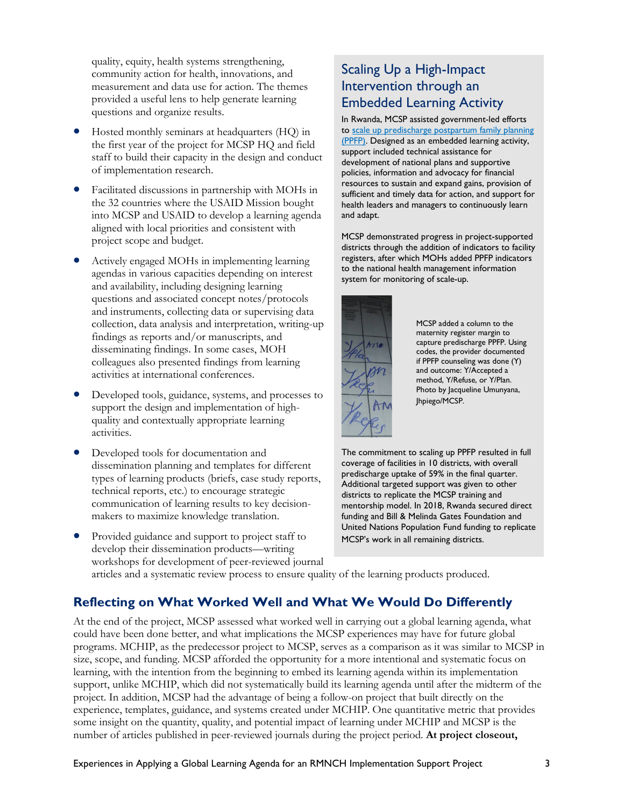quality, equity, health systems strengthening, community action for health, innovations, and measurement and data use for action. The themes provided a useful lens to help generate learning questions and organize results.

- • Hosted monthly seminars at headquarters (HQ) in staff to build their capacity in the design and conduct the first year of the project for MCSP HQ and field of implementation research.
- the 32 countries where the USAID Mission bought project scope and budget. • Facilitated discussions in partnership with MOHs in into MCSP and USAID to develop a learning agenda aligned with local priorities and consistent with
- Actively engaged MOHs in implementing learning agendas in various capacities depending on interest and availability, including designing learning questions and associated concept notes/protocols and instruments, collecting data or supervising data collection, data analysis and interpretation, writing-up findings as reports and/or manuscripts, and disseminating findings. In some cases, MOH colleagues also presented findings from learning activities at international conferences.
- activities. • Developed tools, guidance, systems, and processes to support the design and implementation of highquality and contextually appropriate learning
- types of learning products (briefs, case study reports, • Developed tools for documentation and dissemination planning and templates for different technical reports, etc.) to encourage strategic communication of learning results to key decisionmakers to maximize knowledge translation.
- Provided guidance and support to project staff to develop their dissemination products—writing workshops for development of peer-reviewed journal

### Intervention through an Scaling Up a High-Impact Embedded Learning Activity

In Rwanda, MCSP assisted government-led efforts t[o scale up predischarge postpartum family planning](https://www.mcsprogram.org/resource/scaling-up-immediate-postpartum-family-planning-services-in-rwanda/)  [\(PPFP\).](https://www.mcsprogram.org/resource/scaling-up-immediate-postpartum-family-planning-services-in-rwanda/) Designed as an embedded learning activity, support included technical assistance for development of national plans and supportive policies, information and advocacy for financial resources to sustain and expand gains, provision of sufficient and timely data for action, and support for health leaders and managers to continuously learn and adapt.

MCSP demonstrated progress in project-supported districts through the addition of indicators to facility registers, after which MOHs added PPFP indicators to the national health management information



 if PPFP counseling was done (Y) Photo by Jacqueline Umunyana, maternity register margin to capture predischarge PPFP. Using codes, the provider documented and outcome: Y/Accepted a method, Y/Refuse, or Y/Plan. Jhpiego/MCSP.

The commitment to scaling up PPFP resulted in full coverage of facilities in 10 districts, with overall predischarge uptake of 59% in the final quarter. Additional targeted support was given to other districts to replicate the MCSP training and mentorship model. In 2018, Rwanda secured direct funding and Bill & Melinda Gates Foundation and United Nations Population Fund funding to replicate MCSP's work in all remaining districts.

articles and a systematic review process to ensure quality of the learning products produced.

### **Reflecting on What Worked Well and What We Would Do Differently**

 At the end of the project, MCSP assessed what worked well in carrying out a global learning agenda, what could have been done better, and what implications the MCSP experiences may have for future global programs. MCHIP, as the predecessor project to MCSP, serves as a comparison as it was similar to MCSP in size, scope, and funding. MCSP afforded the opportunity for a more intentional and systematic focus on project. In addition, MCSP had the advantage of being a follow-on project that built directly on the some insight on the quantity, quality, and potential impact of learning under MCHIP and MCSP is the learning, with the intention from the beginning to embed its learning agenda within its implementation support, unlike MCHIP, which did not systematically build its learning agenda until after the midterm of the experience, templates, guidance, and systems created under MCHIP. One quantitative metric that provides number of articles published in peer-reviewed journals during the project period. **At project closeout,**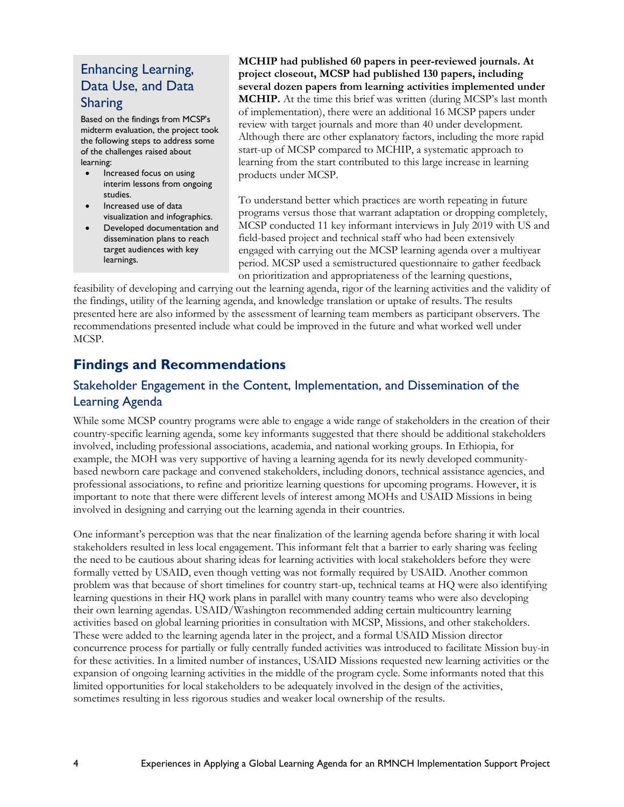### Enhancing Learning, Data Use, and Data Sharing

Based on the findings from MCSP's midterm evaluation, the project took the following steps to address some of the challenges raised about learning:

- Increased focus on using interim lessons from ongoing studies.
- Increased use of data visualization and infographics.
- target audiences with key • Developed documentation and dissemination plans to reach learnings.

**MCHIP had published 60 papers in peer-reviewed journals. At project closeout, MCSP had published 130 papers, including several dozen papers from learning activities implemented under MCHIP.** At the time this brief was written (during MCSP's last month of implementation), there were an additional 16 MCSP papers under review with target journals and more than 40 under development. Although there are other explanatory factors, including the more rapid start-up of MCSP compared to MCHIP, a systematic approach to learning from the start contributed to this large increase in learning products under MCSP.

 period. MCSP used a semistructured questionnaire to gather feedback on prioritization and appropriateness of the learning questions, To understand better which practices are worth repeating in future programs versus those that warrant adaptation or dropping completely, MCSP conducted 11 key informant interviews in July 2019 with US and field-based project and technical staff who had been extensively engaged with carrying out the MCSP learning agenda over a multiyear

 feasibility of developing and carrying out the learning agenda, rigor of the learning activities and the validity of the findings, utility of the learning agenda, and knowledge translation or uptake of results. The results presented here are also informed by the assessment of learning team members as participant observers. The recommendations presented include what could be improved in the future and what worked well under MCSP.

### **Findings and Recommendations**

### Stakeholder Engagement in the Content, Implementation, and Dissemination of the Learning Agenda

 country-specific learning agenda, some key informants suggested that there should be additional stakeholders While some MCSP country programs were able to engage a wide range of stakeholders in the creation of their involved, including professional associations, academia, and national working groups. In Ethiopia, for example, the MOH was very supportive of having a learning agenda for its newly developed communitybased newborn care package and convened stakeholders, including donors, technical assistance agencies, and professional associations, to refine and prioritize learning questions for upcoming programs. However, it is important to note that there were different levels of interest among MOHs and USAID Missions in being involved in designing and carrying out the learning agenda in their countries.

 the need to be cautious about sharing ideas for learning activities with local stakeholders before they were learning questions in their HQ work plans in parallel with many country teams who were also developing activities based on global learning priorities in consultation with MCSP, Missions, and other stakeholders. concurrence process for partially or fully centrally funded activities was introduced to facilitate Mission buy-in sometimes resulting in less rigorous studies and weaker local ownership of the results. One informant's perception was that the near finalization of the learning agenda before sharing it with local stakeholders resulted in less local engagement. This informant felt that a barrier to early sharing was feeling formally vetted by USAID, even though vetting was not formally required by USAID. Another common problem was that because of short timelines for country start-up, technical teams at HQ were also identifying their own learning agendas. USAID/Washington recommended adding certain multicountry learning These were added to the learning agenda later in the project, and a formal USAID Mission director for these activities. In a limited number of instances, USAID Missions requested new learning activities or the expansion of ongoing learning activities in the middle of the program cycle. Some informants noted that this limited opportunities for local stakeholders to be adequately involved in the design of the activities,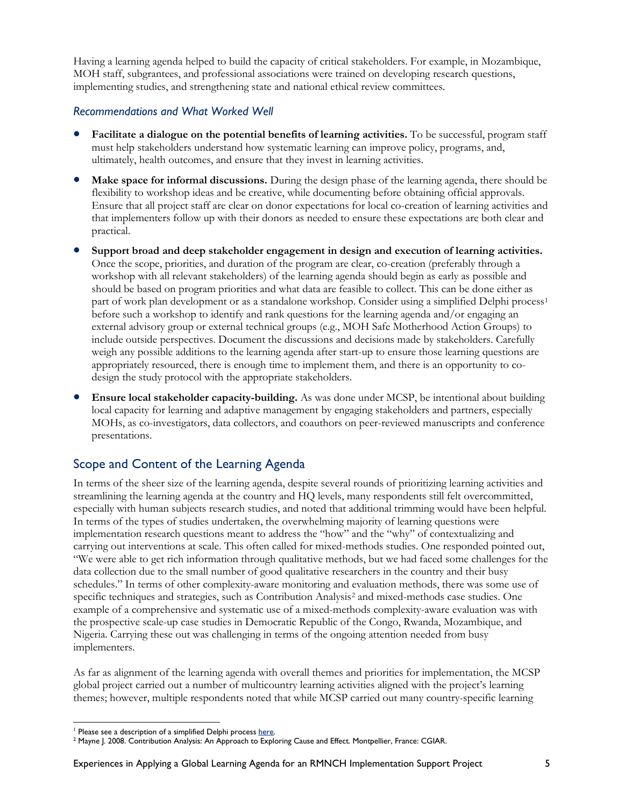Having a learning agenda helped to build the capacity of critical stakeholders. For example, in Mozambique, MOH staff, subgrantees, and professional associations were trained on developing research questions, implementing studies, and strengthening state and national ethical review committees.

#### *Recommendations and What Worked Well*

- ultimately, health outcomes, and ensure that they invest in learning activities. • **Facilitate a dialogue on the potential benefits of learning activities.** To be successful, program staff must help stakeholders understand how systematic learning can improve policy, programs, and,
- **Make space for informal discussions.** During the design phase of the learning agenda, there should be flexibility to workshop ideas and be creative, while documenting before obtaining official approvals. Ensure that all project staff are clear on donor expectations for local co-creation of learning activities and that implementers follow up with their donors as needed to ensure these expectations are both clear and practical.
- part of work plan development or as a standalone workshop. Consider using a simplified Delphi process<sup>1</sup> • **Support broad and deep stakeholder engagement in design and execution of learning activities.**  Once the scope, priorities, and duration of the program are clear, co-creation (preferably through a workshop with all relevant stakeholders) of the learning agenda should begin as early as possible and should be based on program priorities and what data are feasible to collect. This can be done either as before such a workshop to identify and rank questions for the learning agenda and/or engaging an external advisory group or external technical groups (e.g., MOH Safe Motherhood Action Groups) to include outside perspectives. Document the discussions and decisions made by stakeholders. Carefully weigh any possible additions to the learning agenda after start-up to ensure those learning questions are appropriately resourced, there is enough time to implement them, and there is an opportunity to codesign the study protocol with the appropriate stakeholders.
- MOHs, as co-investigators, data collectors, and coauthors on peer-reviewed manuscripts and conference presentations. • **Ensure local stakeholder capacity-building.** As was done under MCSP, be intentional about building local capacity for learning and adaptive management by engaging stakeholders and partners, especially

### Scope and Content of the Learning Agenda

 In terms of the sheer size of the learning agenda, despite several rounds of prioritizing learning activities and especially with human subjects research studies, and noted that additional trimming would have been helpful. data collection due to the small number of good qualitative researchers in the country and their busy schedules." In terms of other complexity-aware monitoring and evaluation methods, there was some use of specific techniques and strategies, such as Contribution Analysis<sup>2</sup> and mixed-methods case studies. One streamlining the learning agenda at the country and HQ levels, many respondents still felt overcommitted, In terms of the types of studies undertaken, the overwhelming majority of learning questions were implementation research questions meant to address the "how" and the "why" of contextualizing and carrying out interventions at scale. This often called for mixed-methods studies. One responded pointed out, "We were able to get rich information through qualitative methods, but we had faced some challenges for the example of a comprehensive and systematic use of a mixed-methods complexity-aware evaluation was with the prospective scale-up case studies in Democratic Republic of the Congo, Rwanda, Mozambique, and Nigeria. Carrying these out was challenging in terms of the ongoing attention needed from busy implementers.

 As far as alignment of the learning agenda with overall themes and priorities for implementation, the MCSP themes; however, multiple respondents noted that while MCSP carried out many country-specific learning global project carried out a number of multicountry learning activities aligned with the project's learning

**<sup>.</sup>** 

<span id="page-4-1"></span><span id="page-4-0"></span><sup>&</sup>lt;sup>1</sup> Please see a description of a simplified Delphi process <u>here</u>.<br><sup>2</sup> Mayne J. 2008. Contribution Analysis: An Approach t[o Explo](https://bmchealthservres.biomedcentral.com/articles/10.1186/s12913-014-0667-1)ring Cause and Effect. Montpellier, France: CGIAR.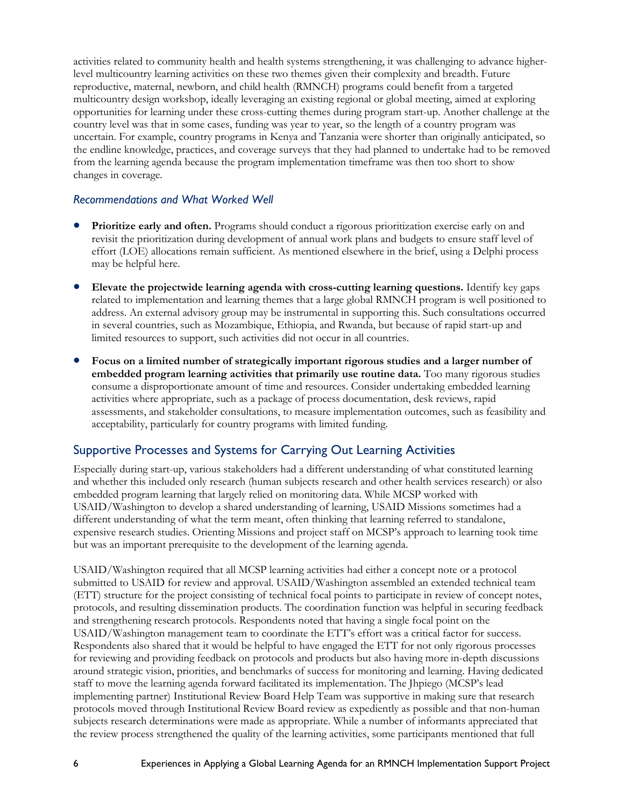level multicountry learning activities on these two themes given their complexity and breadth. Future country level was that in some cases, funding was year to year, so the length of a country program was the endline knowledge, practices, and coverage surveys that they had planned to undertake had to be removed activities related to community health and health systems strengthening, it was challenging to advance higherreproductive, maternal, newborn, and child health (RMNCH) programs could benefit from a targeted multicountry design workshop, ideally leveraging an existing regional or global meeting, aimed at exploring opportunities for learning under these cross-cutting themes during program start-up. Another challenge at the uncertain. For example, country programs in Kenya and Tanzania were shorter than originally anticipated, so from the learning agenda because the program implementation timeframe was then too short to show changes in coverage.

#### *Recommendations and What Worked Well*

- revisit the prioritization during development of annual work plans and budgets to ensure staff level of effort (LOE) allocations remain sufficient. As mentioned elsewhere in the brief, using a Delphi process • **Prioritize early and often.** Programs should conduct a rigorous prioritization exercise early on and may be helpful here.
- related to implementation and learning themes that a large global RMNCH program is well positioned to address. An external advisory group may be instrumental in supporting this. Such consultations occurred in several countries, such as Mozambique, Ethiopia, and Rwanda, but because of rapid start-up and • **Elevate the projectwide learning agenda with cross-cutting learning questions.** Identify key gaps limited resources to support, such activities did not occur in all countries.
- **embedded program learning activities that primarily use routine data.** Too many rigorous studies activities where appropriate, such as a package of process documentation, desk reviews, rapid assessments, and stakeholder consultations, to measure implementation outcomes, such as feasibility and • **Focus on a limited number of strategically important rigorous studies and a larger number of**  consume a disproportionate amount of time and resources. Consider undertaking embedded learning acceptability, particularly for country programs with limited funding.

### Supportive Processes and Systems for Carrying Out Learning Activities

 and whether this included only research (human subjects research and other health services research) or also USAID/Washington to develop a shared understanding of learning, USAID Missions sometimes had a expensive research studies. Orienting Missions and project staff on MCSP's approach to learning took time Especially during start-up, various stakeholders had a different understanding of what constituted learning embedded program learning that largely relied on monitoring data. While MCSP worked with different understanding of what the term meant, often thinking that learning referred to standalone, but was an important prerequisite to the development of the learning agenda.

 submitted to USAID for review and approval. USAID/Washington assembled an extended technical team (ETT) structure for the project consisting of technical focal points to participate in review of concept notes, protocols, and resulting dissemination products. The coordination function was helpful in securing feedback USAID/Washington management team to coordinate the ETT's effort was a critical factor for success. Respondents also shared that it would be helpful to have engaged the ETT for not only rigorous processes around strategic vision, priorities, and benchmarks of success for monitoring and learning. Having dedicated protocols moved through Institutional Review Board review as expediently as possible and that non-human subjects research determinations were made as appropriate. While a number of informants appreciated that USAID/Washington required that all MCSP learning activities had either a concept note or a protocol and strengthening research protocols. Respondents noted that having a single focal point on the for reviewing and providing feedback on protocols and products but also having more in-depth discussions staff to move the learning agenda forward facilitated its implementation. The Jhpiego (MCSP's lead implementing partner) Institutional Review Board Help Team was supportive in making sure that research the review process strengthened the quality of the learning activities, some participants mentioned that full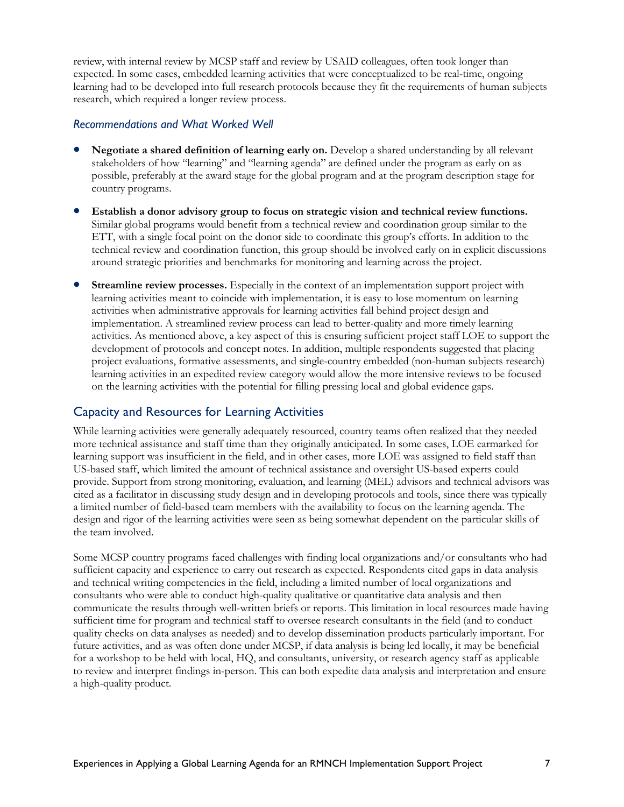expected. In some cases, embedded learning activities that were conceptualized to be real-time, ongoing research, which required a longer review process. review, with internal review by MCSP staff and review by USAID colleagues, often took longer than learning had to be developed into full research protocols because they fit the requirements of human subjects

#### *Recommendations and What Worked Well*

- Negotiate a shared definition of learning early on. Develop a shared understanding by all relevant possible, preferably at the award stage for the global program and at the program description stage for country programs. stakeholders of how "learning" and "learning agenda" are defined under the program as early on as
- Similar global programs would benefit from a technical review and coordination group similar to the • **Establish a donor advisory group to focus on strategic vision and technical review functions.**  ETT, with a single focal point on the donor side to coordinate this group's efforts. In addition to the technical review and coordination function, this group should be involved early on in explicit discussions around strategic priorities and benchmarks for monitoring and learning across the project.
- activities when administrative approvals for learning activities fall behind project design and activities. As mentioned above, a key aspect of this is ensuring sufficient project staff LOE to support the project evaluations, formative assessments, and single-country embedded (non-human subjects research) learning activities in an expedited review category would allow the more intensive reviews to be focused **Streamline review processes.** Especially in the context of an implementation support project with learning activities meant to coincide with implementation, it is easy to lose momentum on learning implementation. A streamlined review process can lead to better-quality and more timely learning development of protocols and concept notes. In addition, multiple respondents suggested that placing on the learning activities with the potential for filling pressing local and global evidence gaps.

### Capacity and Resources for Learning Activities

 While learning activities were generally adequately resourced, country teams often realized that they needed provide. Support from strong monitoring, evaluation, and learning (MEL) advisors and technical advisors was design and rigor of the learning activities were seen as being somewhat dependent on the particular skills of the team involved. more technical assistance and staff time than they originally anticipated. In some cases, LOE earmarked for learning support was insufficient in the field, and in other cases, more LOE was assigned to field staff than US-based staff, which limited the amount of technical assistance and oversight US-based experts could cited as a facilitator in discussing study design and in developing protocols and tools, since there was typically a limited number of field-based team members with the availability to focus on the learning agenda. The

 communicate the results through well-written briefs or reports. This limitation in local resources made having sufficient time for program and technical staff to oversee research consultants in the field (and to conduct future activities, and as was often done under MCSP, if data analysis is being led locally, it may be beneficial for a workshop to be held with local, HQ, and consultants, university, or research agency staff as applicable Some MCSP country programs faced challenges with finding local organizations and/or consultants who had sufficient capacity and experience to carry out research as expected. Respondents cited gaps in data analysis and technical writing competencies in the field, including a limited number of local organizations and consultants who were able to conduct high-quality qualitative or quantitative data analysis and then quality checks on data analyses as needed) and to develop dissemination products particularly important. For to review and interpret findings in-person. This can both expedite data analysis and interpretation and ensure a high-quality product.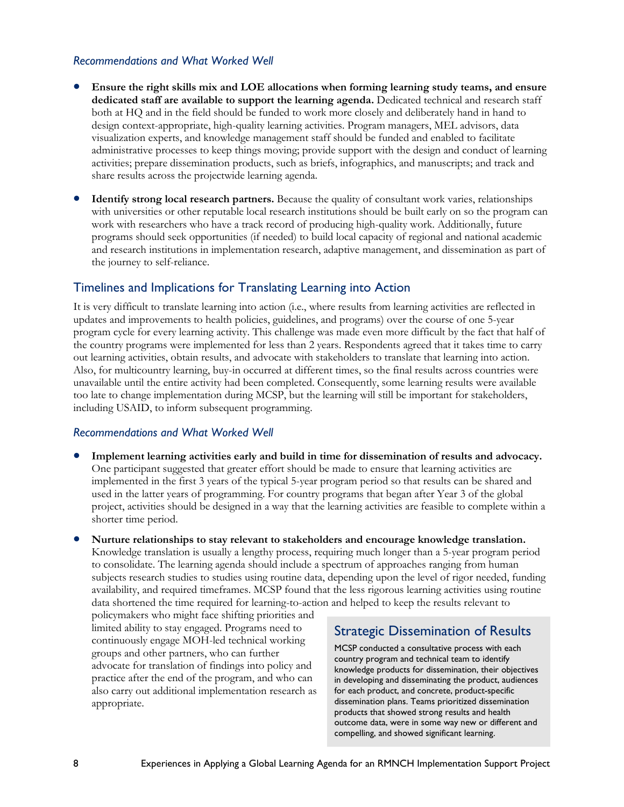#### *Recommendations and What Worked Well*

- **Ensure the right skills mix and LOE allocations when forming learning study teams, and ensure dedicated staff are available to support the learning agenda.** Dedicated technical and research staff both at HQ and in the field should be funded to work more closely and deliberately hand in hand to activities; prepare dissemination products, such as briefs, infographics, and manuscripts; and track and design context-appropriate, high-quality learning activities. Program managers, MEL advisors, data visualization experts, and knowledge management staff should be funded and enabled to facilitate administrative processes to keep things moving; provide support with the design and conduct of learning share results across the projectwide learning agenda.
- **Identify strong local research partners.** Because the quality of consultant work varies, relationships and research institutions in implementation research, adaptive management, and dissemination as part of with universities or other reputable local research institutions should be built early on so the program can work with researchers who have a track record of producing high-quality work. Additionally, future programs should seek opportunities (if needed) to build local capacity of regional and national academic the journey to self-reliance.

### Timelines and Implications for Translating Learning into Action

 It is very difficult to translate learning into action (i.e., where results from learning activities are reflected in updates and improvements to health policies, guidelines, and programs) over the course of one 5-year program cycle for every learning activity. This challenge was made even more difficult by the fact that half of the country programs were implemented for less than 2 years. Respondents agreed that it takes time to carry Also, for multicountry learning, buy-in occurred at different times, so the final results across countries were too late to change implementation during MCSP, but the learning will still be important for stakeholders, including USAID, to inform subsequent programming. out learning activities, obtain results, and advocate with stakeholders to translate that learning into action. unavailable until the entire activity had been completed. Consequently, some learning results were available

#### *Recommendations and What Worked Well*

- **Implement learning activities early and build in time for dissemination of results and advocacy.**  used in the latter years of programming. For country programs that began after Year 3 of the global project, activities should be designed in a way that the learning activities are feasible to complete within a One participant suggested that greater effort should be made to ensure that learning activities are implemented in the first 3 years of the typical 5-year program period so that results can be shared and shorter time period.
- **Nurture relationships to stay relevant to stakeholders and encourage knowledge translation.**  Knowledge translation is usually a lengthy process, requiring much longer than a 5-year program period to consolidate. The learning agenda should include a spectrum of approaches ranging from human subjects research studies to studies using routine data, depending upon the level of rigor needed, funding availability, and required timeframes. MCSP found that the less rigorous learning activities using routine data shortened the time required for learning-to-action and helped to keep the results relevant to

practice after the end of the program, and who can policymakers who might face shifting priorities and limited ability to stay engaged. Programs need to<br>continuously engage MOH-led technical working<br>groups and other partners, who can further<br>advocate for translation of findings into policy and<br>practice after the end of the also carry out additional implementation research as for each product, and concrete, product-specific appropriate. dissemination plans. Teams prioritized dissemination

products that showed strong results and health outcome data, were in some way new or different and compelling, and showed significant learning.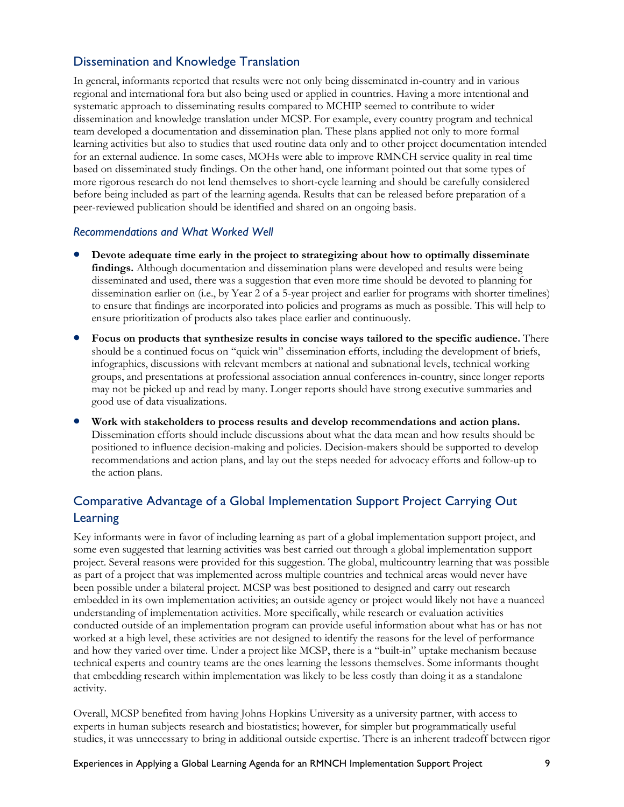### Dissemination and Knowledge Translation

 regional and international fora but also being used or applied in countries. Having a more intentional and team developed a documentation and dissemination plan. These plans applied not only to more formal learning activities but also to studies that used routine data only and to other project documentation intended based on disseminated study findings. On the other hand, one informant pointed out that some types of In general, informants reported that results were not only being disseminated in-country and in various systematic approach to disseminating results compared to MCHIP seemed to contribute to wider dissemination and knowledge translation under MCSP. For example, every country program and technical for an external audience. In some cases, MOHs were able to improve RMNCH service quality in real time more rigorous research do not lend themselves to short-cycle learning and should be carefully considered before being included as part of the learning agenda. Results that can be released before preparation of a peer-reviewed publication should be identified and shared on an ongoing basis.

#### *Recommendations and What Worked Well*

- dissemination earlier on (i.e., by Year 2 of a 5-year project and earlier for programs with shorter timelines) to ensure that findings are incorporated into policies and programs as much as possible. This will help to • **Devote adequate time early in the project to strategizing about how to optimally disseminate findings.** Although documentation and dissemination plans were developed and results were being disseminated and used, there was a suggestion that even more time should be devoted to planning for ensure prioritization of products also takes place earlier and continuously.
- may not be picked up and read by many. Longer reports should have strong executive summaries and • **Focus on products that synthesize results in concise ways tailored to the specific audience.** There should be a continued focus on "quick win" dissemination efforts, including the development of briefs, infographics, discussions with relevant members at national and subnational levels, technical working groups, and presentations at professional association annual conferences in-country, since longer reports good use of data visualizations.
- **Work with stakeholders to process results and develop recommendations and action plans.**  Dissemination efforts should include discussions about what the data mean and how results should be recommendations and action plans, and lay out the steps needed for advocacy efforts and follow-up to the action plans. positioned to influence decision-making and policies. Decision-makers should be supported to develop

### Comparative Advantage of a Global Implementation Support Project Carrying Out Learning

 been possible under a bilateral project. MCSP was best positioned to designed and carry out research worked at a high level, these activities are not designed to identify the reasons for the level of performance activity. Key informants were in favor of including learning as part of a global implementation support project, and some even suggested that learning activities was best carried out through a global implementation support project. Several reasons were provided for this suggestion. The global, multicountry learning that was possible as part of a project that was implemented across multiple countries and technical areas would never have embedded in its own implementation activities; an outside agency or project would likely not have a nuanced understanding of implementation activities. More specifically, while research or evaluation activities conducted outside of an implementation program can provide useful information about what has or has not and how they varied over time. Under a project like MCSP, there is a "built-in" uptake mechanism because technical experts and country teams are the ones learning the lessons themselves. Some informants thought that embedding research within implementation was likely to be less costly than doing it as a standalone

activity.<br>Overall, MCSP benefited from having Johns Hopkins University as a university partner, with access to experts in human subjects research and biostatistics; however, for simpler but programmatically useful studies, it was unnecessary to bring in additional outside expertise. There is an inherent tradeoff between rigor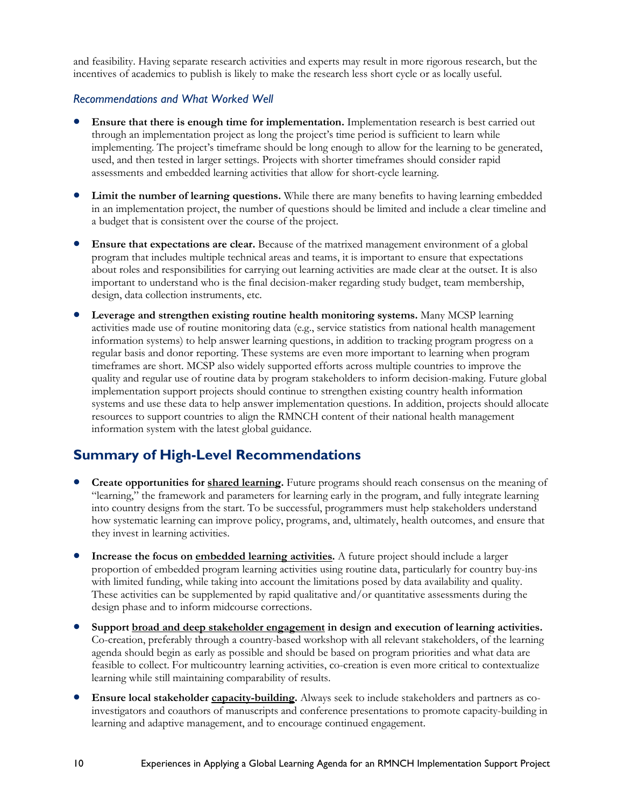and feasibility. Having separate research activities and experts may result in more rigorous research, but the incentives of academics to publish is likely to make the research less short cycle or as locally useful.

#### *Recommendations and What Worked Well*

- **Ensure that there is enough time for implementation.** Implementation research is best carried out implementing. The project's timeframe should be long enough to allow for the learning to be generated, assessments and embedded learning activities that allow for short-cycle learning. through an implementation project as long the project's time period is sufficient to learn while used, and then tested in larger settings. Projects with shorter timeframes should consider rapid
- • **Limit the number of learning questions.** While there are many benefits to having learning embedded in an implementation project, the number of questions should be limited and include a clear timeline and a budget that is consistent over the course of the project.
- **Ensure that expectations are clear.** Because of the matrixed management environment of a global about roles and responsibilities for carrying out learning activities are made clear at the outset. It is also program that includes multiple technical areas and teams, it is important to ensure that expectations important to understand who is the final decision-maker regarding study budget, team membership, design, data collection instruments, etc.
- regular basis and donor reporting. These systems are even more important to learning when program quality and regular use of routine data by program stakeholders to inform decision-making. Future global • **Leverage and strengthen existing routine health monitoring systems.** Many MCSP learning activities made use of routine monitoring data (e.g., service statistics from national health management information systems) to help answer learning questions, in addition to tracking program progress on a timeframes are short. MCSP also widely supported efforts across multiple countries to improve the implementation support projects should continue to strengthen existing country health information systems and use these data to help answer implementation questions. In addition, projects should allocate resources to support countries to align the RMNCH content of their national health management information system with the latest global guidance.

### **Summary of High-Level Recommendations**

- they invest in learning activities. • **Create opportunities for shared learning.** Future programs should reach consensus on the meaning of "learning," the framework and parameters for learning early in the program, and fully integrate learning into country designs from the start. To be successful, programmers must help stakeholders understand how systematic learning can improve policy, programs, and, ultimately, health outcomes, and ensure that
- • **Increase the focus on embedded learning activities.** A future project should include a larger with limited funding, while taking into account the limitations posed by data availability and quality. proportion of embedded program learning activities using routine data, particularly for country buy-ins These activities can be supplemented by rapid qualitative and/or quantitative assessments during the design phase and to inform midcourse corrections.
- **Support broad and deep stakeholder engagement in design and execution of learning activities.**  Co-creation, preferably through a country-based workshop with all relevant stakeholders, of the learning agenda should begin as early as possible and should be based on program priorities and what data are feasible to collect. For multicountry learning activities, co-creation is even more critical to contextualize learning while still maintaining comparability of results.
- • **Ensure local stakeholder capacity-building.** Always seek to include stakeholders and partners as co- investigators and coauthors of manuscripts and conference presentations to promote capacity-building in learning and adaptive management, and to encourage continued engagement.